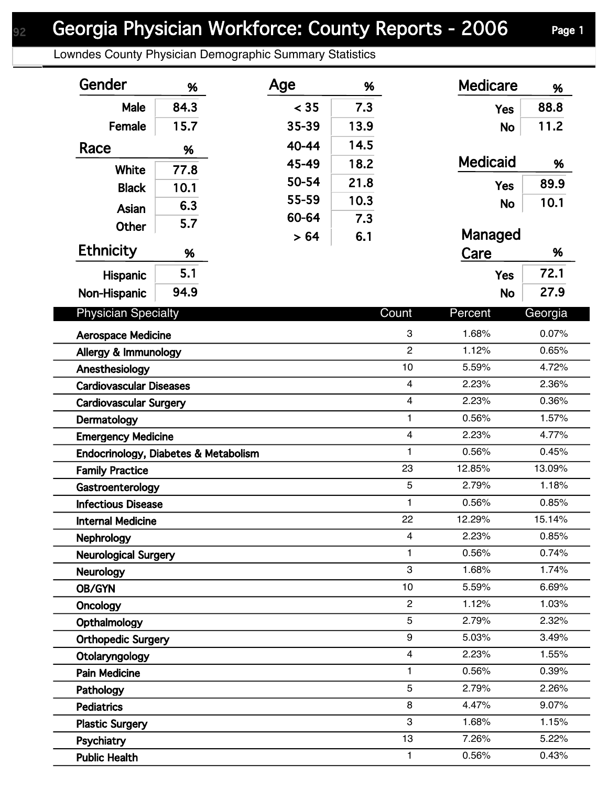## Georgia Physician Workforce: County Reports - 2006 Page 1

Lowndes County Physician Demographic Summary Statistics

| Gender                               | %    | Age   | %    |                         | <b>Medicare</b> | %       |
|--------------------------------------|------|-------|------|-------------------------|-----------------|---------|
| Male                                 | 84.3 | < 35  | 7.3  |                         | <b>Yes</b>      | 88.8    |
| Female                               | 15.7 | 35-39 | 13.9 |                         | <b>No</b>       | 11.2    |
| Race                                 | %    | 40-44 | 14.5 |                         |                 |         |
|                                      |      | 45-49 | 18.2 |                         | <b>Medicaid</b> | %       |
| <b>White</b>                         | 77.8 | 50-54 | 21.8 |                         | <b>Yes</b>      | 89.9    |
| <b>Black</b>                         | 10.1 | 55-59 | 10.3 |                         |                 | 10.1    |
| Asian                                | 6.3  | 60-64 | 7.3  |                         | <b>No</b>       |         |
| Other                                | 5.7  | > 64  | 6.1  |                         | Managed         |         |
| <b>Ethnicity</b>                     | %    |       |      |                         | Care            | %       |
| <b>Hispanic</b>                      | 5.1  |       |      |                         | <b>Yes</b>      | 72.1    |
|                                      | 94.9 |       |      |                         |                 | 27.9    |
| Non-Hispanic                         |      |       |      |                         | <b>No</b>       |         |
| <b>Physician Specialty</b>           |      |       |      | Count                   | Percent         | Georgia |
| <b>Aerospace Medicine</b>            |      |       |      | 3                       | 1.68%           | 0.07%   |
| Allergy & Immunology                 |      |       |      | $\overline{2}$          | 1.12%           | 0.65%   |
| Anesthesiology                       |      |       |      | 10                      | 5.59%           | 4.72%   |
| <b>Cardiovascular Diseases</b>       |      |       |      | $\overline{\mathbf{4}}$ | 2.23%           | 2.36%   |
| <b>Cardiovascular Surgery</b>        |      |       |      | $\overline{4}$          | 2.23%           | 0.36%   |
| Dermatology                          |      |       |      | $\mathbf{1}$            | 0.56%           | 1.57%   |
| <b>Emergency Medicine</b>            |      |       |      | $\overline{4}$          | 2.23%           | 4.77%   |
| Endocrinology, Diabetes & Metabolism |      |       |      | $\mathbf{1}$            | 0.56%           | 0.45%   |
| <b>Family Practice</b>               |      |       |      | 23                      | 12.85%          | 13.09%  |
| Gastroenterology                     |      |       |      | 5                       | 2.79%           | 1.18%   |
| <b>Infectious Disease</b>            |      |       |      | 1                       | 0.56%           | 0.85%   |
| <b>Internal Medicine</b>             |      |       |      | 22                      | 12.29%          | 15.14%  |
| <b>Nephrology</b>                    |      |       |      | $\overline{4}$          | 2.23%           | 0.85%   |
| <b>Neurological Surgery</b>          |      |       |      | 1                       | 0.56%           | 0.74%   |
| Neurology                            |      |       |      | 3                       | 1.68%           | 1.74%   |
| OB/GYN                               |      |       |      | 10                      | 5.59%           | 6.69%   |
| Oncology                             |      |       |      | $\overline{c}$          | 1.12%           | 1.03%   |
| Opthalmology                         |      |       |      | 5                       | 2.79%           | 2.32%   |
| <b>Orthopedic Surgery</b>            |      |       |      | 9                       | 5.03%           | 3.49%   |
| Otolaryngology                       |      |       |      | $\overline{4}$          | 2.23%           | 1.55%   |
| <b>Pain Medicine</b>                 |      |       |      | 1                       | 0.56%           | 0.39%   |
| Pathology                            |      |       |      | 5                       | 2.79%           | 2.26%   |
| <b>Pediatrics</b>                    |      |       |      | 8                       | 4.47%           | 9.07%   |
| <b>Plastic Surgery</b>               |      |       |      | 3                       | 1.68%           | 1.15%   |
| Psychiatry                           |      |       |      | 13                      | 7.26%           | 5.22%   |
| <b>Public Health</b>                 |      |       |      | $\mathbf{1}$            | 0.56%           | 0.43%   |